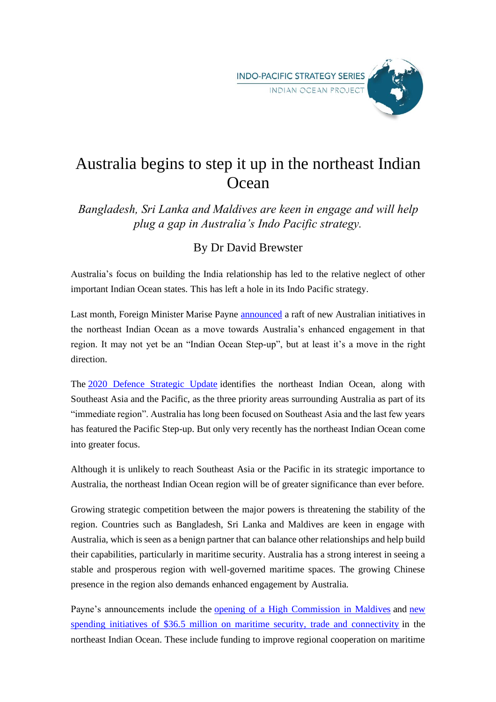

## Australia begins to step it up in the northeast Indian **Ocean**

*Bangladesh, Sri Lanka and Maldives are keen in engage and will help plug a gap in Australia's Indo Pacific strategy.*

## By Dr David Brewster

Australia's focus on building the India relationship has led to the relative neglect of other important Indian Ocean states. This has left a hole in its Indo Pacific strategy.

Last month, Foreign Minister Marise Payne [announced](https://www.foreignminister.gov.au/minister/marise-payne/media-release/enhancing-engagement-north-east-indian-ocean) a raft of new Australian initiatives in the northeast Indian Ocean as a move towards Australia's enhanced engagement in that region. It may not yet be an "Indian Ocean Step-up", but at least it's a move in the right direction.

The [2020 Defence Strategic Update](https://www.defence.gov.au/about/publications/2020-defence-strategic-update) identifies the northeast Indian Ocean, along with Southeast Asia and the Pacific, as the three priority areas surrounding Australia as part of its "immediate region". Australia has long been focused on Southeast Asia and the last few years has featured the Pacific Step-up. But only very recently has the northeast Indian Ocean come into greater focus.

Although it is unlikely to reach Southeast Asia or the Pacific in its strategic importance to Australia, the northeast Indian Ocean region will be of greater significance than ever before.

Growing strategic competition between the major powers is threatening the stability of the region. Countries such as Bangladesh, Sri Lanka and Maldives are keen in engage with Australia, which is seen as a benign partner that can balance other relationships and help build their capabilities, particularly in maritime security. Australia has a strong interest in seeing a stable and prosperous region with well-governed maritime spaces. The growing Chinese presence in the region also demands enhanced engagement by Australia.

Payne's announcements include the [opening of a High Commission in Maldives](https://www.foreignminister.gov.au/minister/marise-payne/media-release/high-commission-maldives) and [new](https://www.foreignminister.gov.au/minister/marise-payne/media-release/enhancing-engagement-north-east-indian-ocean)  [spending initiatives of \\$36.5 million on maritime security, trade and connectivity](https://www.foreignminister.gov.au/minister/marise-payne/media-release/enhancing-engagement-north-east-indian-ocean) in the northeast Indian Ocean. These include funding to improve regional cooperation on maritime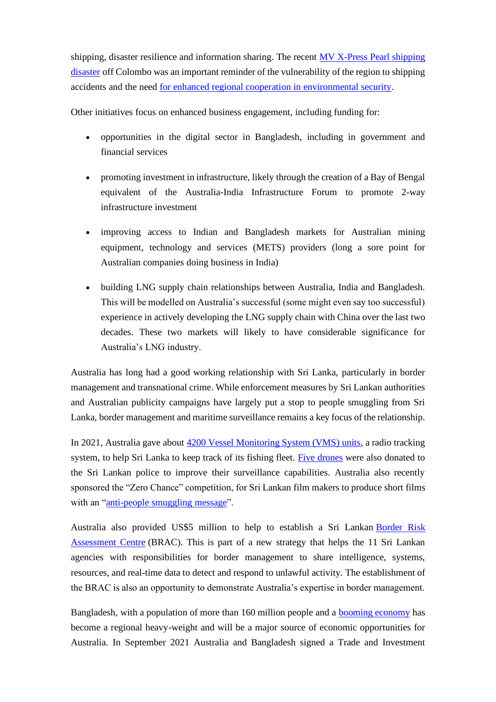shipping, disaster resilience and information sharing. The recent [MV X-Press Pearl shipping](https://www.bbc.com/news/world-asia-57395693)  [disaster](https://www.bbc.com/news/world-asia-57395693) off Colombo was an important reminder of the vulnerability of the region to shipping accidents and the need [for enhanced regional cooperation in environmental security.](https://www.lowyinstitute.org/the-interpreter/tackling-environmental-security-threats-indian-ocean)

Other initiatives focus on enhanced business engagement, including funding for:

- opportunities in the digital sector in Bangladesh, including in government and financial services
- promoting investment in infrastructure, likely through the creation of a Bay of Bengal equivalent of the Australia-India Infrastructure Forum to promote 2-way infrastructure investment
- improving access to Indian and Bangladesh markets for Australian mining equipment, technology and services (METS) providers (long a sore point for Australian companies doing business in India)
- building LNG supply chain relationships between Australia, India and Bangladesh. This will be modelled on Australia's successful (some might even say too successful) experience in actively developing the LNG supply chain with China over the last two decades. These two markets will likely to have considerable significance for Australia's LNG industry.

Australia has long had a good working relationship with Sri Lanka, particularly in border management and transnational crime. While enforcement measures by Sri Lankan authorities and Australian publicity campaigns have largely put a stop to people smuggling from Sri Lanka, border management and maritime surveillance remains a key focus of the relationship.

In 2021, Australia gave about [4200 Vessel Monitoring System \(VMS\) units,](https://www.themorning.lk/australian-government-to-send-4200-vms-units-to-sri-lanka-in-2021/) a radio tracking system, to help Sri Lanka to keep track of its fishing fleet. [Five drones](https://australianaviation.com.au/2021/04/australia-gifts-sri-lanka-drones-to-spot-people-smuggling/) were also donated to the Sri Lankan police to improve their surveillance capabilities. Australia also recently sponsored the "Zero Chance" competition, for Sri Lankan film makers to produce short films with an ["anti-people smuggling message"](https://www.abc.net.au/news/2022-02-14/federal-government-holds-movie-competition-in-sri-lanka/13753574).

Australia also provided US\$5 million to help to establish a Sri Lankan Border Risk [Assessment Centre](https://ceylontoday.lk/news/border-risk-assessment-centre-opened-in-colombo) (BRAC). This is part of a new strategy that helps the 11 Sri Lankan agencies with responsibilities for border management to share intelligence, systems, resources, and real-time data to detect and respond to unlawful activity. The establishment of the BRAC is also an opportunity to demonstrate Australia's expertise in border management.

Bangladesh, with a population of more than 160 million people and a [booming economy](https://www.worldbank.org/en/country/bangladesh/overview#1) has become a regional heavy-weight and will be a major source of economic opportunities for Australia. In September 2021 Australia and Bangladesh signed a Trade and Investment